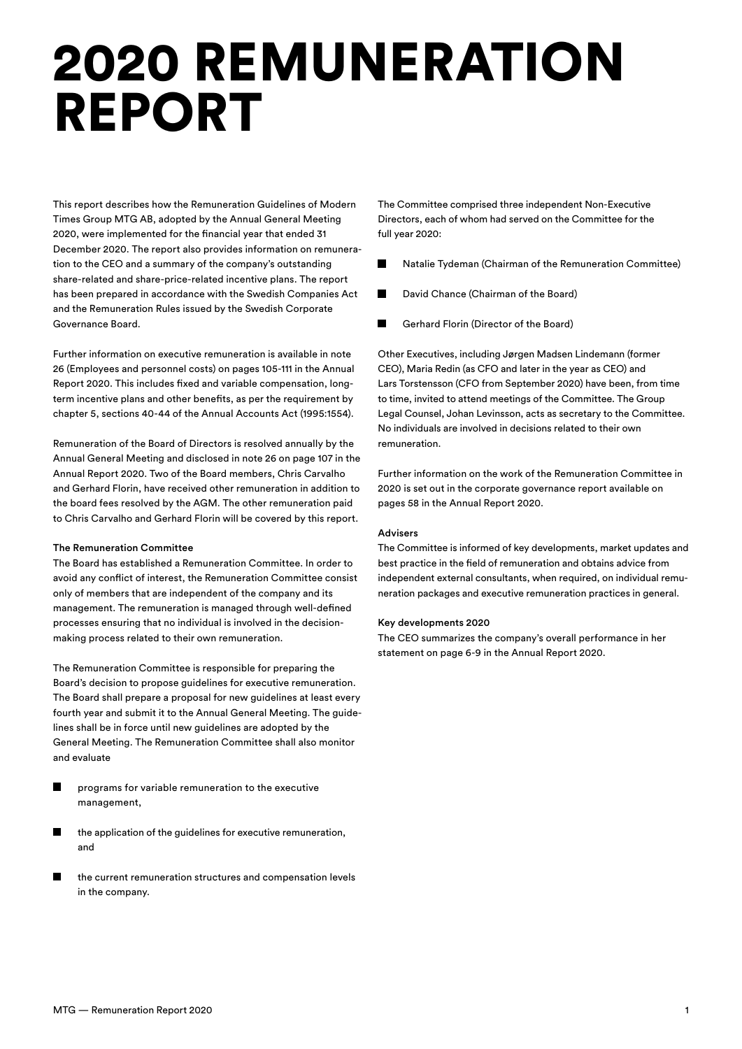# 2020 REMUNERATION REPORT

This report describes how the Remuneration Guidelines of Modern Times Group MTG AB, adopted by the Annual General Meeting 2020, were implemented for the financial year that ended 31 December 2020. The report also provides information on remuneration to the CEO and a summary of the company's outstanding share-related and share-price-related incentive plans. The report has been prepared in accordance with the Swedish Companies Act and the Remuneration Rules issued by the Swedish Corporate Governance Board.

Further information on executive remuneration is available in note 26 (Employees and personnel costs) on pages 105-111 in the Annual Report 2020. This includes fixed and variable compensation, longterm incentive plans and other benefits, as per the requirement by chapter 5, sections 40-44 of the Annual Accounts Act (1995:1554).

Remuneration of the Board of Directors is resolved annually by the Annual General Meeting and disclosed in note 26 on page 107 in the Annual Report 2020. Two of the Board members, Chris Carvalho and Gerhard Florin, have received other remuneration in addition to the board fees resolved by the AGM. The other remuneration paid to Chris Carvalho and Gerhard Florin will be covered by this report.

#### The Remuneration Committee

The Board has established a Remuneration Committee. In order to avoid any conflict of interest, the Remuneration Committee consist only of members that are independent of the company and its management. The remuneration is managed through well-defined processes ensuring that no individual is involved in the decisionmaking process related to their own remuneration.

The Remuneration Committee is responsible for preparing the Board's decision to propose guidelines for executive remuneration. The Board shall prepare a proposal for new guidelines at least every fourth year and submit it to the Annual General Meeting. The guidelines shall be in force until new guidelines are adopted by the General Meeting. The Remuneration Committee shall also monitor and evaluate

- $\blacksquare$ programs for variable remuneration to the executive management,
- the application of the guidelines for executive remuneration, and
- $\blacksquare$ the current remuneration structures and compensation levels in the company.

The Committee comprised three independent Non-Executive Directors, each of whom had served on the Committee for the full year 2020:

- $\blacksquare$ Natalie Tydeman (Chairman of the Remuneration Committee)
- David Chance (Chairman of the Board)
- п Gerhard Florin (Director of the Board)

Other Executives, including Jørgen Madsen Lindemann (former CEO), Maria Redin (as CFO and later in the year as CEO) and Lars Torstensson (CFO from September 2020) have been, from time to time, invited to attend meetings of the Committee. The Group Legal Counsel, Johan Levinsson, acts as secretary to the Committee. No individuals are involved in decisions related to their own remuneration.

Further information on the work of the Remuneration Committee in 2020 is set out in the corporate governance report available on pages 58 in the Annual Report 2020.

## Advisers

The Committee is informed of key developments, market updates and best practice in the field of remuneration and obtains advice from independent external consultants, when required, on individual remuneration packages and executive remuneration practices in general.

## Key developments 2020

The CEO summarizes the company's overall performance in her statement on page 6-9 in the Annual Report 2020.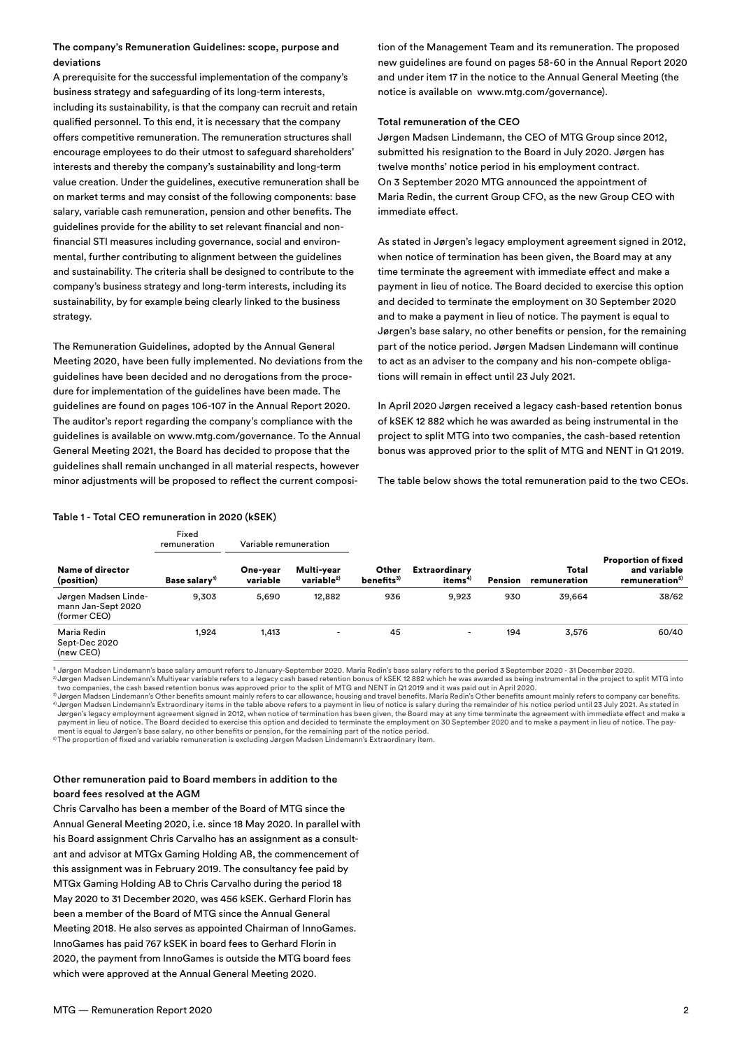# The company's Remuneration Guidelines: scope, purpose and deviations

A prerequisite for the successful implementation of the company's business strategy and safeguarding of its long-term interests, including its sustainability, is that the company can recruit and retain qualified personnel. To this end, it is necessary that the company offers competitive remuneration. The remuneration structures shall encourage employees to do their utmost to safeguard shareholders' interests and thereby the company's sustainability and long-term value creation. Under the guidelines, executive remuneration shall be on market terms and may consist of the following components: base salary, variable cash remuneration, pension and other benefits. The guidelines provide for the ability to set relevant financial and nonfinancial STI measures including governance, social and environmental, further contributing to alignment between the guidelines and sustainability. The criteria shall be designed to contribute to the company's business strategy and long-term interests, including its sustainability, by for example being clearly linked to the business strategy.

The Remuneration Guidelines, adopted by the Annual General Meeting 2020, have been fully implemented. No deviations from the guidelines have been decided and no derogations from the procedure for implementation of the guidelines have been made. The guidelines are found on pages 106-107 in the Annual Report 2020. The auditor's report regarding the company's compliance with the guidelines is available on www.mtg.com/governance. To the Annual General Meeting 2021, the Board has decided to propose that the guidelines shall remain unchanged in all material respects, however minor adjustments will be proposed to reflect the current composition of the Management Team and its remuneration. The proposed new guidelines are found on pages 58-60 in the Annual Report 2020 and under item 17 in the notice to the Annual General Meeting (the notice is available on www.mtg.com/governance).

### Total remuneration of the CEO

Jørgen Madsen Lindemann, the CEO of MTG Group since 2012, submitted his resignation to the Board in July 2020. Jørgen has twelve months' notice period in his employment contract. On 3 September 2020 MTG announced the appointment of Maria Redin, the current Group CFO, as the new Group CEO with immediate effect.

As stated in Jørgen's legacy employment agreement signed in 2012, when notice of termination has been given, the Board may at any time terminate the agreement with immediate effect and make a payment in lieu of notice. The Board decided to exercise this option and decided to terminate the employment on 30 September 2020 and to make a payment in lieu of notice. The payment is equal to Jørgen's base salary, no other benefits or pension, for the remaining part of the notice period. Jørgen Madsen Lindemann will continue to act as an adviser to the company and his non-compete obligations will remain in effect until 23 July 2021.

In April 2020 Jørgen received a legacy cash-based retention bonus of kSEK 12 882 which he was awarded as being instrumental in the project to split MTG into two companies, the cash-based retention bonus was approved prior to the split of MTG and NENT in Q1 2019.

The table below shows the total remuneration paid to the two CEOs.

|                                                            | Fixed<br>remuneration     | Variable remuneration |                                      |                                 |                                             |                |                       |                                                                   |
|------------------------------------------------------------|---------------------------|-----------------------|--------------------------------------|---------------------------------|---------------------------------------------|----------------|-----------------------|-------------------------------------------------------------------|
| Name of director<br>(position)                             | Base salary <sup>1)</sup> | One-year<br>variable  | Multi-year<br>variable <sup>2)</sup> | Other<br>benefits <sup>3)</sup> | <b>Extraordinary</b><br>items <sup>4)</sup> | <b>Pension</b> | Total<br>remuneration | Proportion of fixed<br>and variable<br>remuneration <sup>5)</sup> |
| Jørgen Madsen Linde-<br>mann Jan-Sept 2020<br>(former CEO) | 9.303                     | 5,690                 | 12,882                               | 936                             | 9.923                                       | 930            | 39,664                | 38/62                                                             |
| Maria Redin<br>Sept-Dec 2020<br>(new CEO)                  | 1.924                     | 1,413                 | $\overline{\phantom{a}}$             | 45                              | ۰                                           | 194            | 3,576                 | 60/40                                                             |

#### Table 1 - Total CEO remuneration in 2020 (kSEK)

1) Jørgen Madsen Lindemann's base salary amount refers to January-September 2020. Maria Redin's base salary refers to the period 3 September 2020 - 31 December 2020.  $^{2}$  Jørgen Madsen Lindemann's Multiyear variable refers to a legacy cash based retention bonus of kSEK 12 882 which he was awarded as being instrumental in the project to split MTG into

two companies, the cash based retention bonus was approved prior to the split of MTG and NENT in Q1 2019 and it was paid out in April 2020.<br><sup>3)</sup> Jørgen Madsen Lindemann's Other benefits amount mainly refers to car allowanc 4) Jørgen Madsen Lindemann's Extraordinary items in the table above refers to a payment in lieu of notice is salary during the remainder of his notice period until 23 July 2021. As stated in

Jørgen's legacy employment agreement signed in 2012, when notice of termination has been given, the Board may at any time terminate the agreement with immediate effect and make a payment in lieu of notice. The Board decided to exercise this option and decided to terminate the employment on 30 September 2020 and to make a payment in lieu of notice. The pay-. . .<br>ment is equal to Jørgen's base salary, no other benefits or pension, for the remaining part of the notice period.<br>The proportion of fixed and variable remuneration is excluding Jørgen Madsen Lindemann's Extraordinary

5) The proportion of fixed and variable remuneration is excluding Jørgen Madsen Linde

## Other remuneration paid to Board members in addition to the board fees resolved at the AGM

Chris Carvalho has been a member of the Board of MTG since the Annual General Meeting 2020, i.e. since 18 May 2020. In parallel with his Board assignment Chris Carvalho has an assignment as a consultant and advisor at MTGx Gaming Holding AB, the commencement of this assignment was in February 2019. The consultancy fee paid by MTGx Gaming Holding AB to Chris Carvalho during the period 18 May 2020 to 31 December 2020, was 456 kSEK. Gerhard Florin has been a member of the Board of MTG since the Annual General Meeting 2018. He also serves as appointed Chairman of InnoGames. InnoGames has paid 767 kSEK in board fees to Gerhard Florin in 2020, the payment from InnoGames is outside the MTG board fees which were approved at the Annual General Meeting 2020.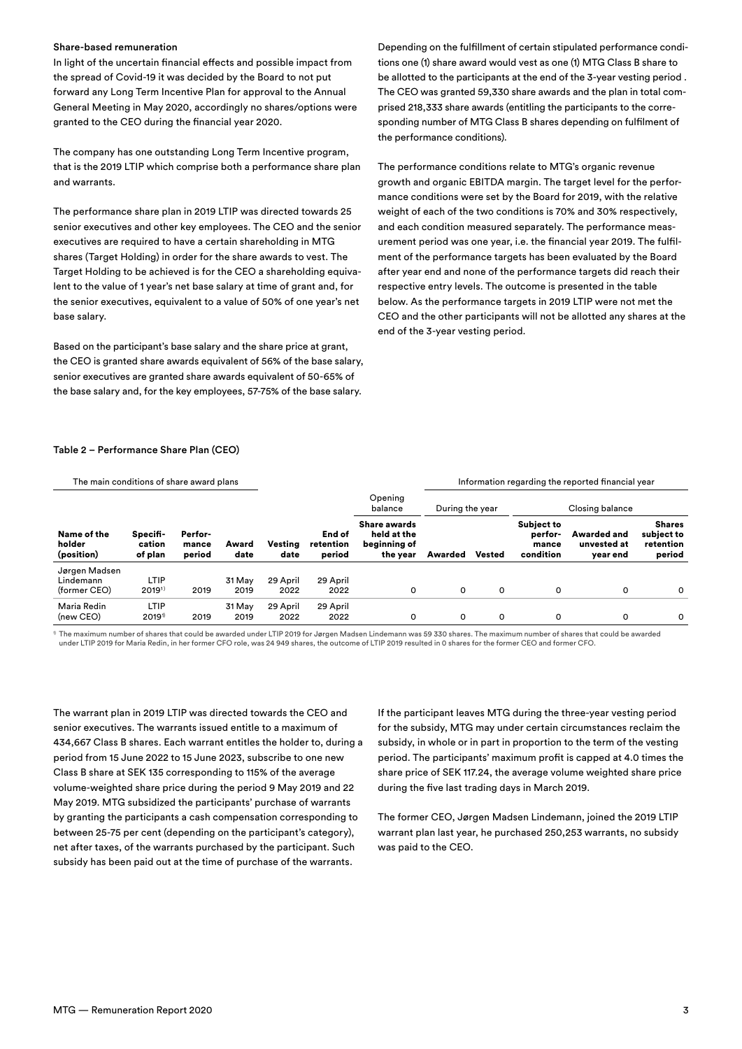### Share-based remuneration

In light of the uncertain financial effects and possible impact from the spread of Covid-19 it was decided by the Board to not put forward any Long Term Incentive Plan for approval to the Annual General Meeting in May 2020, accordingly no shares/options were granted to the CEO during the financial year 2020.

The company has one outstanding Long Term Incentive program, that is the 2019 LTIP which comprise both a performance share plan and warrants.

The performance share plan in 2019 LTIP was directed towards 25 senior executives and other key employees. The CEO and the senior executives are required to have a certain shareholding in MTG shares (Target Holding) in order for the share awards to vest. The Target Holding to be achieved is for the CEO a shareholding equivalent to the value of 1 year's net base salary at time of grant and, for the senior executives, equivalent to a value of 50% of one year's net base salary.

Based on the participant's base salary and the share price at grant, the CEO is granted share awards equivalent of 56% of the base salary, senior executives are granted share awards equivalent of 50-65% of the base salary and, for the key employees, 57-75% of the base salary.

Depending on the fulfillment of certain stipulated performance conditions one (1) share award would vest as one (1) MTG Class B share to be allotted to the participants at the end of the 3-year vesting period . The CEO was granted 59,330 share awards and the plan in total comprised 218,333 share awards (entitling the participants to the corresponding number of MTG Class B shares depending on fulfilment of the performance conditions).

The performance conditions relate to MTG's organic revenue growth and organic EBITDA margin. The target level for the performance conditions were set by the Board for 2019, with the relative weight of each of the two conditions is 70% and 30% respectively, and each condition measured separately. The performance measurement period was one year, i.e. the financial year 2019. The fulfilment of the performance targets has been evaluated by the Board after year end and none of the performance targets did reach their respective entry levels. The outcome is presented in the table below. As the performance targets in 2019 LTIP were not met the CEO and the other participants will not be allotted any shares at the end of the 3-year vesting period.

#### Table 2 – Performance Share Plan (CEO)

| The main conditions of share award plans |                               |                            |               |                 |                               |                                                         | Information regarding the reported financial year |        |                                                    |                                               |                                                    |  |
|------------------------------------------|-------------------------------|----------------------------|---------------|-----------------|-------------------------------|---------------------------------------------------------|---------------------------------------------------|--------|----------------------------------------------------|-----------------------------------------------|----------------------------------------------------|--|
|                                          |                               |                            |               |                 |                               | Opening<br>balance                                      | During the year                                   |        | Closing balance                                    |                                               |                                                    |  |
| Name of the<br>holder<br>(position)      | Specifi-<br>cation<br>of plan | Perfor-<br>mance<br>period | Award<br>date | Vesting<br>date | End of<br>retention<br>period | Share awards<br>held at the<br>beginning of<br>the year | Awarded                                           | Vested | <b>Subject to</b><br>perfor-<br>mance<br>condition | <b>Awarded and</b><br>unvested at<br>year end | <b>Shares</b><br>subject to<br>retention<br>period |  |
| Jørgen Madsen                            |                               |                            |               |                 |                               |                                                         |                                                   |        |                                                    |                                               |                                                    |  |
| Lindemann                                | LTIP                          |                            | 31 May        | 29 April        | 29 April                      |                                                         |                                                   |        |                                                    |                                               |                                                    |  |
| (former CEO)                             | $2019^{1}$                    | 2019                       | 2019          | 2022            | 2022                          | 0                                                       | 0                                                 | 0      | 0                                                  | 0                                             | O                                                  |  |
| Maria Redin                              | LTIP                          |                            | 31 May        | 29 April        | 29 April                      |                                                         |                                                   |        |                                                    |                                               |                                                    |  |
| (new CEO)                                | 2019 <sup>1</sup>             | 2019                       | 2019          | 2022            | 2022                          | 0                                                       | 0                                                 | 0      | o                                                  | 0                                             | 0                                                  |  |

 $^{\circ}$  The maximum number of shares that could be awarded under LTIP 2019 for Jørgen Madsen Lindemann was 59 330 shares. The maximum number of shares that could be awarded under LTIP 2019 for Maria Redin, in her former CFO role, was 24 949 shares, the outcome of LTIP 2019 resulted in 0 shares for the former CEO and former CFO.

The warrant plan in 2019 LTIP was directed towards the CEO and senior executives. The warrants issued entitle to a maximum of 434,667 Class B shares. Each warrant entitles the holder to, during a period from 15 June 2022 to 15 June 2023, subscribe to one new Class B share at SEK 135 corresponding to 115% of the average volume-weighted share price during the period 9 May 2019 and 22 May 2019. MTG subsidized the participants' purchase of warrants by granting the participants a cash compensation corresponding to between 25-75 per cent (depending on the participant's category), net after taxes, of the warrants purchased by the participant. Such subsidy has been paid out at the time of purchase of the warrants.

If the participant leaves MTG during the three-year vesting period for the subsidy, MTG may under certain circumstances reclaim the subsidy, in whole or in part in proportion to the term of the vesting period. The participants' maximum profit is capped at 4.0 times the share price of SEK 117.24, the average volume weighted share price during the five last trading days in March 2019.

The former CEO, Jørgen Madsen Lindemann, joined the 2019 LTIP warrant plan last year, he purchased 250,253 warrants, no subsidy was paid to the CEO.